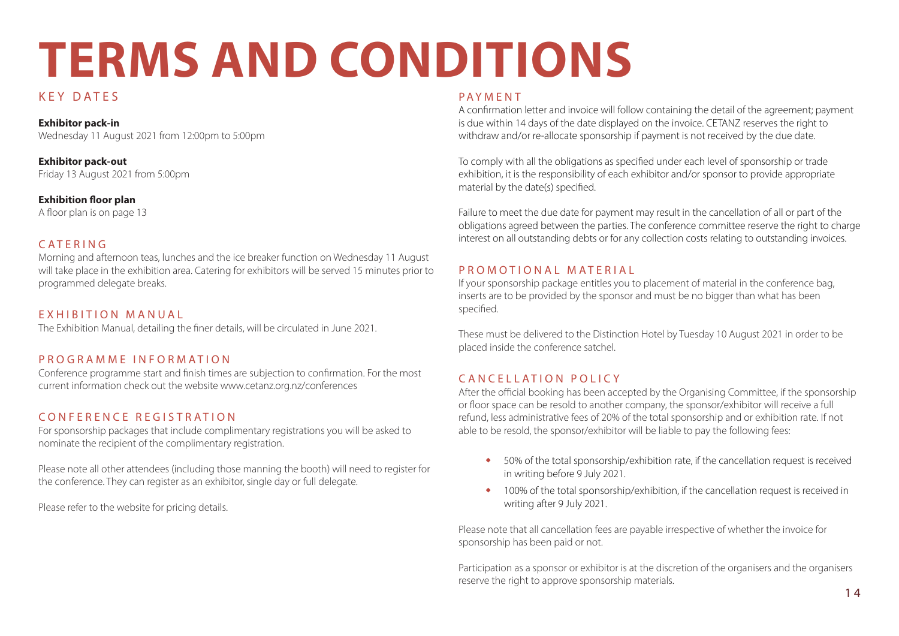# **TERMS AND CONDITIONS**

# KEY DATES

**Exhibitor pack-in** Wednesday 11 August 2021 from 12:00pm to 5:00pm

**Exhibitor pack-out** Friday 13 August 2021 from 5:00pm

**Exhibition floor plan**

A floor plan is on page 13

## CATERING

Morning and afternoon teas, lunches and the ice breaker function on Wednesday 11 August will take place in the exhibition area. Catering for exhibitors will be served 15 minutes prior to programmed delegate breaks.

## EXHIBITION MANUAL

The Exhibition Manual, detailing the finer details, will be circulated in June 2021.

## PROGRAMME INFORMATION

Conference programme start and finish times are subjection to confirmation. For the most current information check out the website www.cetanz.org.nz/conferences

# CONFERENCE REGISTRATION

For sponsorship packages that include complimentary registrations you will be asked to nominate the recipient of the complimentary registration.

Please note all other attendees (including those manning the booth) will need to register for the conference. They can register as an exhibitor, single day or full delegate.

Please refer to the website for pricing details.

#### PAYMENT

A confirmation letter and invoice will follow containing the detail of the agreement; payment is due within 14 days of the date displayed on the invoice. CETANZ reserves the right to withdraw and/or re-allocate sponsorship if payment is not received by the due date.

To comply with all the obligations as specified under each level of sponsorship or trade exhibition, it is the responsibility of each exhibitor and/or sponsor to provide appropriate material by the date(s) specified.

Failure to meet the due date for payment may result in the cancellation of all or part of the obligations agreed between the parties. The conference committee reserve the right to charge interest on all outstanding debts or for any collection costs relating to outstanding invoices.

## P R O M O T I O N A L M A T E R I A L

If your sponsorship package entitles you to placement of material in the conference bag, inserts are to be provided by the sponsor and must be no bigger than what has been specified.

These must be delivered to the Distinction Hotel by Tuesday 10 August 2021 in order to be placed inside the conference satchel.

# CANCELLATION POLICY

After the official booking has been accepted by the Organising Committee, if the sponsorship or floor space can be resold to another company, the sponsor/exhibitor will receive a full refund, less administrative fees of 20% of the total sponsorship and or exhibition rate. If not able to be resold, the sponsor/exhibitor will be liable to pay the following fees:

- **•** 50% of the total sponsorship/exhibition rate, if the cancellation request is received in writing before 9 July 2021.
- **•** 100% of the total sponsorship/exhibition, if the cancellation request is received in writing after 9 July 2021.

Please note that all cancellation fees are payable irrespective of whether the invoice for sponsorship has been paid or not.

Participation as a sponsor or exhibitor is at the discretion of the organisers and the organisers reserve the right to approve sponsorship materials.